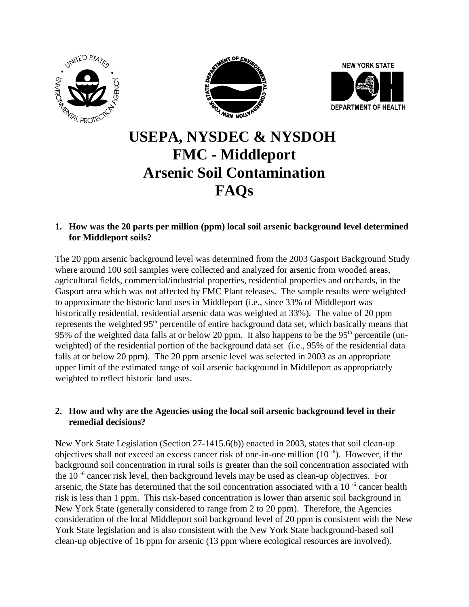





# **USEPA, NYSDEC & NYSDOH FMC - Middleport Arsenic Soil Contamination FAQs**

**1. How was the 20 parts per million (ppm) local soil arsenic background level determined for Middleport soils?**

The 20 ppm arsenic background level was determined from the 2003 Gasport Background Study where around 100 soil samples were collected and analyzed for arsenic from wooded areas, agricultural fields, commercial/industrial properties, residential properties and orchards, in the Gasport area which was not affected by FMC Plant releases. The sample results were weighted to approximate the historic land uses in Middleport (i.e., since 33% of Middleport was historically residential, residential arsenic data was weighted at 33%). The value of 20 ppm represents the weighted 95<sup>th</sup> percentile of entire background data set, which basically means that 95% of the weighted data falls at or below 20 ppm. It also happens to be the 95<sup>th</sup> percentile (unweighted) of the residential portion of the background data set (i.e., 95% of the residential data falls at or below 20 ppm). The 20 ppm arsenic level was selected in 2003 as an appropriate upper limit of the estimated range of soil arsenic background in Middleport as appropriately weighted to reflect historic land uses.

## **2. How and why are the Agencies using the local soil arsenic background level in their remedial decisions?**

New York State Legislation (Section 27-1415.6(b)) enacted in 2003, states that soil clean-up objectives shall not exceed an excess cancer risk of one-in-one million  $(10^{-6})$ . However, if the background soil concentration in rural soils is greater than the soil concentration associated with the 10 $<sup>-6</sup>$  cancer risk level, then background levels may be used as clean-up objectives. For</sup> arsenic, the State has determined that the soil concentration associated with a  $10^{-6}$  cancer health risk is less than 1 ppm. This risk-based concentration is lower than arsenic soil background in New York State (generally considered to range from 2 to 20 ppm). Therefore, the Agencies consideration of the local Middleport soil background level of 20 ppm is consistent with the New York State legislation and is also consistent with the New York State background-based soil clean-up objective of 16 ppm for arsenic (13 ppm where ecological resources are involved).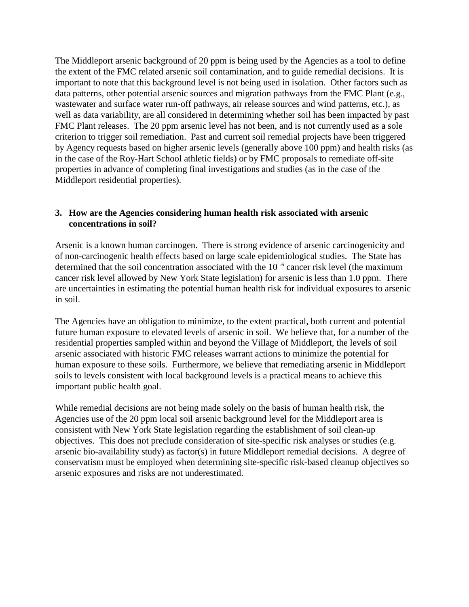The Middleport arsenic background of 20 ppm is being used by the Agencies as a tool to define the extent of the FMC related arsenic soil contamination, and to guide remedial decisions. It is important to note that this background level is not being used in isolation. Other factors such as data patterns, other potential arsenic sources and migration pathways from the FMC Plant (e.g., wastewater and surface water run-off pathways, air release sources and wind patterns, etc.), as well as data variability, are all considered in determining whether soil has been impacted by past FMC Plant releases. The 20 ppm arsenic level has not been, and is not currently used as a sole criterion to trigger soil remediation. Past and current soil remedial projects have been triggered by Agency requests based on higher arsenic levels (generally above 100 ppm) and health risks (as in the case of the Roy-Hart School athletic fields) or by FMC proposals to remediate off-site properties in advance of completing final investigations and studies (as in the case of the Middleport residential properties).

### **3. How are the Agencies considering human health risk associated with arsenic concentrations in soil?**

Arsenic is a known human carcinogen. There is strong evidence of arsenic carcinogenicity and of non-carcinogenic health effects based on large scale epidemiological studies. The State has determined that the soil concentration associated with the  $10^{-6}$  cancer risk level (the maximum cancer risk level allowed by New York State legislation) for arsenic is less than 1.0 ppm. There are uncertainties in estimating the potential human health risk for individual exposures to arsenic in soil.

The Agencies have an obligation to minimize, to the extent practical, both current and potential future human exposure to elevated levels of arsenic in soil. We believe that, for a number of the residential properties sampled within and beyond the Village of Middleport, the levels of soil arsenic associated with historic FMC releases warrant actions to minimize the potential for human exposure to these soils. Furthermore, we believe that remediating arsenic in Middleport soils to levels consistent with local background levels is a practical means to achieve this important public health goal.

While remedial decisions are not being made solely on the basis of human health risk, the Agencies use of the 20 ppm local soil arsenic background level for the Middleport area is consistent with New York State legislation regarding the establishment of soil clean-up objectives. This does not preclude consideration of site-specific risk analyses or studies (e.g. arsenic bio-availability study) as factor(s) in future Middleport remedial decisions. A degree of conservatism must be employed when determining site-specific risk-based cleanup objectives so arsenic exposures and risks are not underestimated.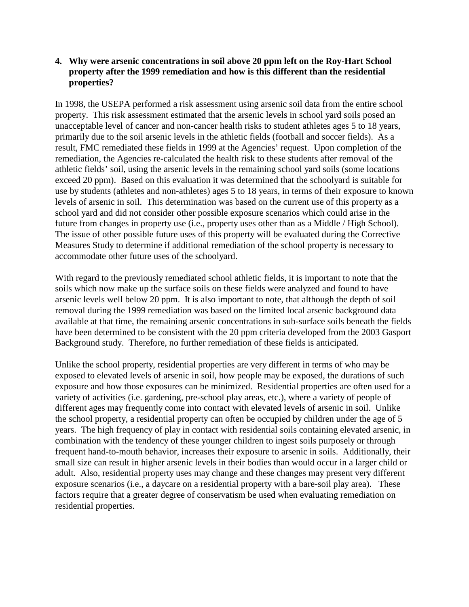#### **4. Why were arsenic concentrations in soil above 20 ppm left on the Roy-Hart School property after the 1999 remediation and how is this different than the residential properties?**

In 1998, the USEPA performed a risk assessment using arsenic soil data from the entire school property. This risk assessment estimated that the arsenic levels in school yard soils posed an unacceptable level of cancer and non-cancer health risks to student athletes ages 5 to 18 years, primarily due to the soil arsenic levels in the athletic fields (football and soccer fields). As a result, FMC remediated these fields in 1999 at the Agencies' request. Upon completion of the remediation, the Agencies re-calculated the health risk to these students after removal of the athletic fields' soil, using the arsenic levels in the remaining school yard soils (some locations exceed 20 ppm). Based on this evaluation it was determined that the schoolyard is suitable for use by students (athletes and non-athletes) ages 5 to 18 years, in terms of their exposure to known levels of arsenic in soil. This determination was based on the current use of this property as a school yard and did not consider other possible exposure scenarios which could arise in the future from changes in property use (i.e., property uses other than as a Middle / High School). The issue of other possible future uses of this property will be evaluated during the Corrective Measures Study to determine if additional remediation of the school property is necessary to accommodate other future uses of the schoolyard.

With regard to the previously remediated school athletic fields, it is important to note that the soils which now make up the surface soils on these fields were analyzed and found to have arsenic levels well below 20 ppm. It is also important to note, that although the depth of soil removal during the 1999 remediation was based on the limited local arsenic background data available at that time, the remaining arsenic concentrations in sub-surface soils beneath the fields have been determined to be consistent with the 20 ppm criteria developed from the 2003 Gasport Background study. Therefore, no further remediation of these fields is anticipated.

Unlike the school property, residential properties are very different in terms of who may be exposed to elevated levels of arsenic in soil, how people may be exposed, the durations of such exposure and how those exposures can be minimized. Residential properties are often used for a variety of activities (i.e. gardening, pre-school play areas, etc.), where a variety of people of different ages may frequently come into contact with elevated levels of arsenic in soil. Unlike the school property, a residential property can often be occupied by children under the age of 5 years. The high frequency of play in contact with residential soils containing elevated arsenic, in combination with the tendency of these younger children to ingest soils purposely or through frequent hand-to-mouth behavior, increases their exposure to arsenic in soils. Additionally, their small size can result in higher arsenic levels in their bodies than would occur in a larger child or adult. Also, residential property uses may change and these changes may present very different exposure scenarios (i.e., a daycare on a residential property with a bare-soil play area). These factors require that a greater degree of conservatism be used when evaluating remediation on residential properties.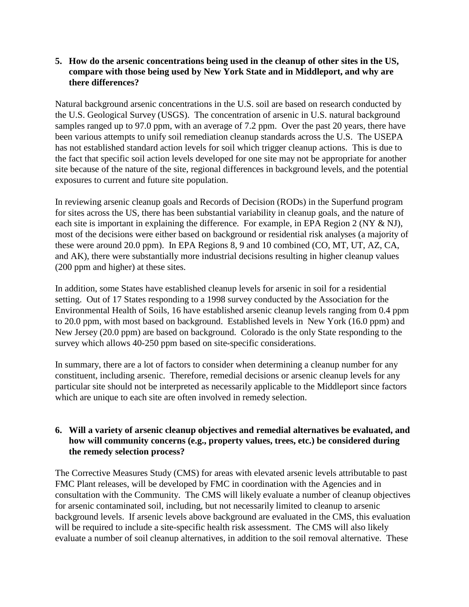### **5. How do the arsenic concentrations being used in the cleanup of other sites in the US, compare with those being used by New York State and in Middleport, and why are there differences?**

Natural background arsenic concentrations in the U.S. soil are based on research conducted by the U.S. Geological Survey (USGS). The concentration of arsenic in U.S. natural background samples ranged up to 97.0 ppm, with an average of 7.2 ppm. Over the past 20 years, there have been various attempts to unify soil remediation cleanup standards across the U.S. The USEPA has not established standard action levels for soil which trigger cleanup actions. This is due to the fact that specific soil action levels developed for one site may not be appropriate for another site because of the nature of the site, regional differences in background levels, and the potential exposures to current and future site population.

In reviewing arsenic cleanup goals and Records of Decision (RODs) in the Superfund program for sites across the US, there has been substantial variability in cleanup goals, and the nature of each site is important in explaining the difference. For example, in EPA Region 2 (NY & NJ), most of the decisions were either based on background or residential risk analyses (a majority of these were around 20.0 ppm). In EPA Regions 8, 9 and 10 combined (CO, MT, UT, AZ, CA, and AK), there were substantially more industrial decisions resulting in higher cleanup values (200 ppm and higher) at these sites.

In addition, some States have established cleanup levels for arsenic in soil for a residential setting. Out of 17 States responding to a 1998 survey conducted by the Association for the Environmental Health of Soils, 16 have established arsenic cleanup levels ranging from 0.4 ppm to 20.0 ppm, with most based on background. Established levels in New York (16.0 ppm) and New Jersey (20.0 ppm) are based on background. Colorado is the only State responding to the survey which allows 40-250 ppm based on site-specific considerations.

In summary, there are a lot of factors to consider when determining a cleanup number for any constituent, including arsenic. Therefore, remedial decisions or arsenic cleanup levels for any particular site should not be interpreted as necessarily applicable to the Middleport since factors which are unique to each site are often involved in remedy selection.

## **6. Will a variety of arsenic cleanup objectives and remedial alternatives be evaluated, and how will community concerns (e.g., property values, trees, etc.) be considered during the remedy selection process?**

The Corrective Measures Study (CMS) for areas with elevated arsenic levels attributable to past FMC Plant releases, will be developed by FMC in coordination with the Agencies and in consultation with the Community. The CMS will likely evaluate a number of cleanup objectives for arsenic contaminated soil, including, but not necessarily limited to cleanup to arsenic background levels. If arsenic levels above background are evaluated in the CMS, this evaluation will be required to include a site-specific health risk assessment. The CMS will also likely evaluate a number of soil cleanup alternatives, in addition to the soil removal alternative. These